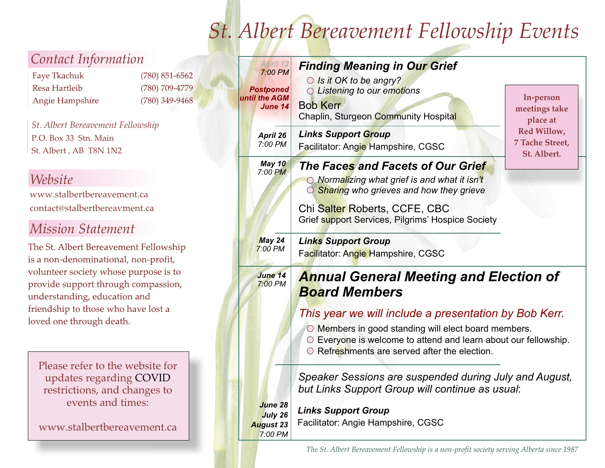# *St. Albert Bereavement Fellowship Events*

| Contact Information                                                                                                                                                             |                                                          | <b>April 12</b><br>7:00 PM                                      | <b>Finding Meaning in Our Grief</b>                                                                                                                                                                                                                                                                                                                                                                                           |                                               |  |
|---------------------------------------------------------------------------------------------------------------------------------------------------------------------------------|----------------------------------------------------------|-----------------------------------------------------------------|-------------------------------------------------------------------------------------------------------------------------------------------------------------------------------------------------------------------------------------------------------------------------------------------------------------------------------------------------------------------------------------------------------------------------------|-----------------------------------------------|--|
| Faye Tkachuk<br>Resa Hartleib<br>Angie Hampshire                                                                                                                                | $(780) 851 - 6562$<br>(780) 709-4779<br>$(780)$ 349-9468 | <b>Postponed</b><br>until the AGM<br><b>June 14</b>             | $\bigcirc$ Is it OK to be angry?<br>C Listening to our emotions<br><b>Bob Kerr</b><br>Chaplin, Sturgeon Community Hospital                                                                                                                                                                                                                                                                                                    | In-person<br>meetings take<br>place at        |  |
| St. Albert Bereavement Fellowship<br>P.O. Box 33 Stn. Main<br>St. Albert, AB T8N 1N2                                                                                            |                                                          | April 26<br>7:00 PM                                             | <b>Links Support Group</b><br>Facilitator: Angie Hampshire, CGSC                                                                                                                                                                                                                                                                                                                                                              | Red Willow,<br>7 Tache Street,<br>St. Albert. |  |
| Website<br>www.stalbertbereavement.ca<br>contact@stalbertbereavment.ca<br><b>Mission Statement</b>                                                                              |                                                          | May 10<br>7:00 PM                                               | The Faces and Facets of Our Grief<br>O Normalizing what grief is and what it isn't<br>Sharing who grieves and how they grieve<br>Chi Salter Roberts, CCFE, CBC<br>Grief support Services, Pilgrims' Hospice Society                                                                                                                                                                                                           |                                               |  |
| The St. Albert Bereavement Fellowship<br>is a non-denominational, non-profit,                                                                                                   |                                                          | May 24<br>$7:00$ PM                                             | <b>Links Support Group</b><br>Facilitator: Angie Hampshire, CGSC                                                                                                                                                                                                                                                                                                                                                              |                                               |  |
| volunteer society whose purpose is to<br>provide support through compassion,<br>understanding, education and<br>friendship to those who have lost a<br>loved one through death. |                                                          | <b>June 14</b><br>7:00 PM                                       | <b>Annual General Meeting and Election of</b><br><b>Board Members</b><br>This year we will include a presentation by Bob Kerr.<br>O Members in good standing will elect board members.<br>O Everyone is welcome to attend and learn about our fellowship.<br>$\circ$ Refreshments are served after the election.<br>Speaker Sessions are suspended during July and August,<br>but Links Support Group will continue as usual: |                                               |  |
| Please refer to the website for<br>updates regarding COVID<br>restrictions, and changes to                                                                                      |                                                          |                                                                 |                                                                                                                                                                                                                                                                                                                                                                                                                               |                                               |  |
| events and times:<br>www.stalbertbereavement.ca                                                                                                                                 |                                                          | <b>June 28</b><br><b>July 26</b><br><b>August 23</b><br>7:00 PM | <b>Links Support Group</b><br>Facilitator: Angie Hampshire, CGSC                                                                                                                                                                                                                                                                                                                                                              |                                               |  |